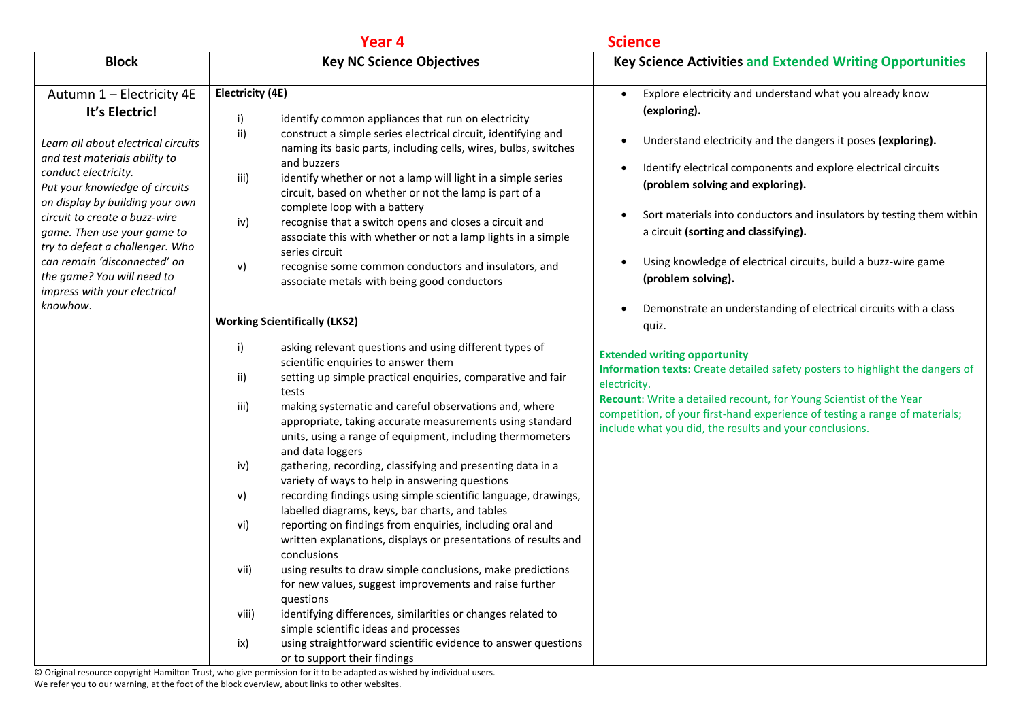|                                                                                                                                                                                                                                                                                                                                                                                                                   | Year 4                                                                                                                                                                                                                                                                                                                                                                                                                                                                                                                                                                                                                                                                   | <b>Science</b>                                                                                                                                                                                                                                                                                                                                                                                                                                                                                                          |
|-------------------------------------------------------------------------------------------------------------------------------------------------------------------------------------------------------------------------------------------------------------------------------------------------------------------------------------------------------------------------------------------------------------------|--------------------------------------------------------------------------------------------------------------------------------------------------------------------------------------------------------------------------------------------------------------------------------------------------------------------------------------------------------------------------------------------------------------------------------------------------------------------------------------------------------------------------------------------------------------------------------------------------------------------------------------------------------------------------|-------------------------------------------------------------------------------------------------------------------------------------------------------------------------------------------------------------------------------------------------------------------------------------------------------------------------------------------------------------------------------------------------------------------------------------------------------------------------------------------------------------------------|
| <b>Block</b>                                                                                                                                                                                                                                                                                                                                                                                                      | <b>Key NC Science Objectives</b>                                                                                                                                                                                                                                                                                                                                                                                                                                                                                                                                                                                                                                         | <b>Key Science Activities and Extended Writing Opportunities</b>                                                                                                                                                                                                                                                                                                                                                                                                                                                        |
| Autumn 1 - Electricity 4E<br>It's Electric!<br>Learn all about electrical circuits<br>and test materials ability to<br>conduct electricity.<br>Put your knowledge of circuits<br>on display by building your own<br>circuit to create a buzz-wire<br>game. Then use your game to<br>try to defeat a challenger. Who<br>can remain 'disconnected' on<br>the game? You will need to<br>impress with your electrical | Electricity (4E)<br>i)<br>identify common appliances that run on electricity<br>ii)<br>construct a simple series electrical circuit, identifying and<br>naming its basic parts, including cells, wires, bulbs, switches<br>and buzzers<br>iii)<br>identify whether or not a lamp will light in a simple series<br>circuit, based on whether or not the lamp is part of a<br>complete loop with a battery<br>recognise that a switch opens and closes a circuit and<br>iv)<br>associate this with whether or not a lamp lights in a simple<br>series circuit<br>v)<br>recognise some common conductors and insulators, and<br>associate metals with being good conductors | Explore electricity and understand what you already know<br>$\bullet$<br>(exploring).<br>Understand electricity and the dangers it poses (exploring).<br>$\bullet$<br>Identify electrical components and explore electrical circuits<br>$\bullet$<br>(problem solving and exploring).<br>Sort materials into conductors and insulators by testing them within<br>$\bullet$<br>a circuit (sorting and classifying).<br>Using knowledge of electrical circuits, build a buzz-wire game<br>$\bullet$<br>(problem solving). |
| knowhow.                                                                                                                                                                                                                                                                                                                                                                                                          | <b>Working Scientifically (LKS2)</b>                                                                                                                                                                                                                                                                                                                                                                                                                                                                                                                                                                                                                                     | Demonstrate an understanding of electrical circuits with a class<br>$\bullet$<br>quiz.                                                                                                                                                                                                                                                                                                                                                                                                                                  |
|                                                                                                                                                                                                                                                                                                                                                                                                                   | i)<br>asking relevant questions and using different types of<br>scientific enquiries to answer them<br>ii)<br>setting up simple practical enquiries, comparative and fair<br>tests<br>iii)<br>making systematic and careful observations and, where<br>appropriate, taking accurate measurements using standard<br>units, using a range of equipment, including thermometers<br>and data loggers                                                                                                                                                                                                                                                                         | <b>Extended writing opportunity</b><br>Information texts: Create detailed safety posters to highlight the dangers of<br>electricity.<br>Recount: Write a detailed recount, for Young Scientist of the Year<br>competition, of your first-hand experience of testing a range of materials;<br>include what you did, the results and your conclusions.                                                                                                                                                                    |
|                                                                                                                                                                                                                                                                                                                                                                                                                   | gathering, recording, classifying and presenting data in a<br>iv)<br>variety of ways to help in answering questions<br>v)<br>recording findings using simple scientific language, drawings,                                                                                                                                                                                                                                                                                                                                                                                                                                                                              |                                                                                                                                                                                                                                                                                                                                                                                                                                                                                                                         |
|                                                                                                                                                                                                                                                                                                                                                                                                                   | labelled diagrams, keys, bar charts, and tables<br>vi)<br>reporting on findings from enquiries, including oral and<br>written explanations, displays or presentations of results and<br>conclusions                                                                                                                                                                                                                                                                                                                                                                                                                                                                      |                                                                                                                                                                                                                                                                                                                                                                                                                                                                                                                         |
|                                                                                                                                                                                                                                                                                                                                                                                                                   | using results to draw simple conclusions, make predictions<br>vii)<br>for new values, suggest improvements and raise further<br>questions                                                                                                                                                                                                                                                                                                                                                                                                                                                                                                                                |                                                                                                                                                                                                                                                                                                                                                                                                                                                                                                                         |
|                                                                                                                                                                                                                                                                                                                                                                                                                   | identifying differences, similarities or changes related to<br>viii)<br>simple scientific ideas and processes<br>using straightforward scientific evidence to answer questions<br>ix)<br>or to support their findings                                                                                                                                                                                                                                                                                                                                                                                                                                                    |                                                                                                                                                                                                                                                                                                                                                                                                                                                                                                                         |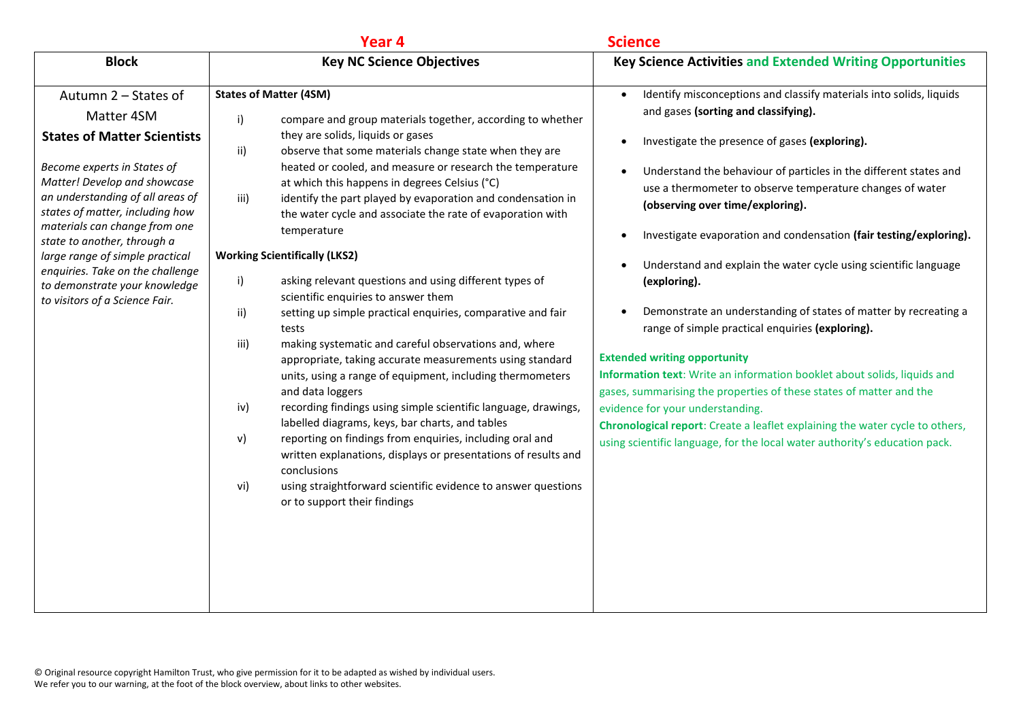|                                                                                                                                                                                                                                                                                                                                                                                                                          | Year <sub>4</sub>                                                                                                                                                                                                                                                                                                                                                                                                                                                                                                                                                                                                                                                                                                                                                                                                                                                                                                                                                                                                                                                                                                                                                                                                                                                                                            | <b>Science</b>                                                                                                                                                                                                                                                                                                                                                                                                                                                                                                                                                                                                                                                                                                                                                                                                                                                                                                                                                                                                                                                                                  |
|--------------------------------------------------------------------------------------------------------------------------------------------------------------------------------------------------------------------------------------------------------------------------------------------------------------------------------------------------------------------------------------------------------------------------|--------------------------------------------------------------------------------------------------------------------------------------------------------------------------------------------------------------------------------------------------------------------------------------------------------------------------------------------------------------------------------------------------------------------------------------------------------------------------------------------------------------------------------------------------------------------------------------------------------------------------------------------------------------------------------------------------------------------------------------------------------------------------------------------------------------------------------------------------------------------------------------------------------------------------------------------------------------------------------------------------------------------------------------------------------------------------------------------------------------------------------------------------------------------------------------------------------------------------------------------------------------------------------------------------------------|-------------------------------------------------------------------------------------------------------------------------------------------------------------------------------------------------------------------------------------------------------------------------------------------------------------------------------------------------------------------------------------------------------------------------------------------------------------------------------------------------------------------------------------------------------------------------------------------------------------------------------------------------------------------------------------------------------------------------------------------------------------------------------------------------------------------------------------------------------------------------------------------------------------------------------------------------------------------------------------------------------------------------------------------------------------------------------------------------|
| <b>Block</b>                                                                                                                                                                                                                                                                                                                                                                                                             | <b>Key NC Science Objectives</b>                                                                                                                                                                                                                                                                                                                                                                                                                                                                                                                                                                                                                                                                                                                                                                                                                                                                                                                                                                                                                                                                                                                                                                                                                                                                             | <b>Key Science Activities and Extended Writing Opportunities</b>                                                                                                                                                                                                                                                                                                                                                                                                                                                                                                                                                                                                                                                                                                                                                                                                                                                                                                                                                                                                                                |
| Autumn 2 – States of<br>Matter 4SM<br><b>States of Matter Scientists</b><br>Become experts in States of<br>Matter! Develop and showcase<br>an understanding of all areas of<br>states of matter, including how<br>materials can change from one<br>state to another, through a<br>large range of simple practical<br>enquiries. Take on the challenge<br>to demonstrate your knowledge<br>to visitors of a Science Fair. | <b>States of Matter (4SM)</b><br>i)<br>compare and group materials together, according to whether<br>they are solids, liquids or gases<br>observe that some materials change state when they are<br>ii)<br>heated or cooled, and measure or research the temperature<br>at which this happens in degrees Celsius (°C)<br>iii)<br>identify the part played by evaporation and condensation in<br>the water cycle and associate the rate of evaporation with<br>temperature<br><b>Working Scientifically (LKS2)</b><br>i)<br>asking relevant questions and using different types of<br>scientific enquiries to answer them<br>setting up simple practical enquiries, comparative and fair<br>ii)<br>tests<br>iii)<br>making systematic and careful observations and, where<br>appropriate, taking accurate measurements using standard<br>units, using a range of equipment, including thermometers<br>and data loggers<br>iv)<br>recording findings using simple scientific language, drawings,<br>labelled diagrams, keys, bar charts, and tables<br>reporting on findings from enquiries, including oral and<br>v)<br>written explanations, displays or presentations of results and<br>conclusions<br>using straightforward scientific evidence to answer questions<br>vi)<br>or to support their findings | Identify misconceptions and classify materials into solids, liquids<br>$\bullet$<br>and gases (sorting and classifying).<br>Investigate the presence of gases (exploring).<br>$\bullet$<br>Understand the behaviour of particles in the different states and<br>$\bullet$<br>use a thermometer to observe temperature changes of water<br>(observing over time/exploring).<br>Investigate evaporation and condensation (fair testing/exploring).<br>$\bullet$<br>Understand and explain the water cycle using scientific language<br>$\bullet$<br>(exploring).<br>Demonstrate an understanding of states of matter by recreating a<br>$\bullet$<br>range of simple practical enquiries (exploring).<br><b>Extended writing opportunity</b><br>Information text: Write an information booklet about solids, liquids and<br>gases, summarising the properties of these states of matter and the<br>evidence for your understanding.<br>Chronological report: Create a leaflet explaining the water cycle to others,<br>using scientific language, for the local water authority's education pack. |
|                                                                                                                                                                                                                                                                                                                                                                                                                          |                                                                                                                                                                                                                                                                                                                                                                                                                                                                                                                                                                                                                                                                                                                                                                                                                                                                                                                                                                                                                                                                                                                                                                                                                                                                                                              |                                                                                                                                                                                                                                                                                                                                                                                                                                                                                                                                                                                                                                                                                                                                                                                                                                                                                                                                                                                                                                                                                                 |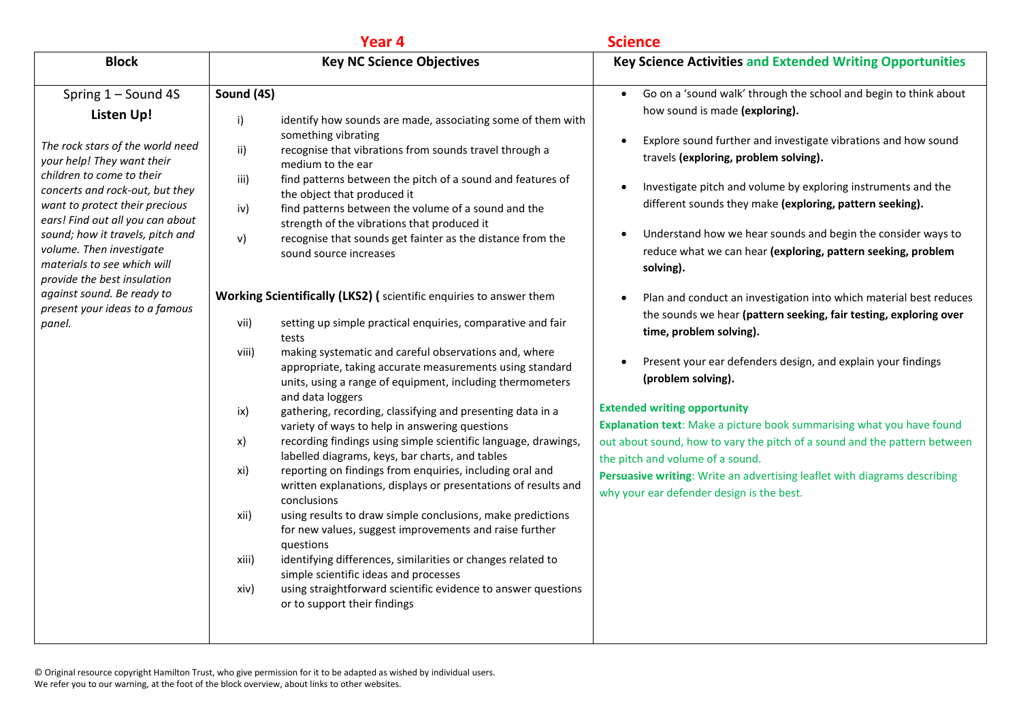|                                                                                                                                                                                                                                                                                                                                                                                                                                                   | Year <sub>4</sub>                                                                                                                                                                                                                                                                                                                                                                                                                                                                                                                                                                                                                                                                                                                                                                                                                                                                                                                                                                                                                                                                                                                                                                                                                                                                                                                                                                                                                                                                                                                                                                                                                                              | <b>Science</b>                                                                                                                                                                                                                                                                                                                                                                                                                                                                                                                                                                                                                                                                                                                                                                                                                                                                                                                                                                                                                                                                                                                                                                               |
|---------------------------------------------------------------------------------------------------------------------------------------------------------------------------------------------------------------------------------------------------------------------------------------------------------------------------------------------------------------------------------------------------------------------------------------------------|----------------------------------------------------------------------------------------------------------------------------------------------------------------------------------------------------------------------------------------------------------------------------------------------------------------------------------------------------------------------------------------------------------------------------------------------------------------------------------------------------------------------------------------------------------------------------------------------------------------------------------------------------------------------------------------------------------------------------------------------------------------------------------------------------------------------------------------------------------------------------------------------------------------------------------------------------------------------------------------------------------------------------------------------------------------------------------------------------------------------------------------------------------------------------------------------------------------------------------------------------------------------------------------------------------------------------------------------------------------------------------------------------------------------------------------------------------------------------------------------------------------------------------------------------------------------------------------------------------------------------------------------------------------|----------------------------------------------------------------------------------------------------------------------------------------------------------------------------------------------------------------------------------------------------------------------------------------------------------------------------------------------------------------------------------------------------------------------------------------------------------------------------------------------------------------------------------------------------------------------------------------------------------------------------------------------------------------------------------------------------------------------------------------------------------------------------------------------------------------------------------------------------------------------------------------------------------------------------------------------------------------------------------------------------------------------------------------------------------------------------------------------------------------------------------------------------------------------------------------------|
| <b>Block</b>                                                                                                                                                                                                                                                                                                                                                                                                                                      | <b>Key NC Science Objectives</b>                                                                                                                                                                                                                                                                                                                                                                                                                                                                                                                                                                                                                                                                                                                                                                                                                                                                                                                                                                                                                                                                                                                                                                                                                                                                                                                                                                                                                                                                                                                                                                                                                               | <b>Key Science Activities and Extended Writing Opportunities</b>                                                                                                                                                                                                                                                                                                                                                                                                                                                                                                                                                                                                                                                                                                                                                                                                                                                                                                                                                                                                                                                                                                                             |
| Spring 1 - Sound 4S<br>Listen Up!<br>The rock stars of the world need<br>your help! They want their<br>children to come to their<br>concerts and rock-out, but they<br>want to protect their precious<br>ears! Find out all you can about<br>sound; how it travels, pitch and<br>volume. Then investigate<br>materials to see which will<br>provide the best insulation<br>against sound. Be ready to<br>present your ideas to a famous<br>panel. | Sound (4S)<br>i)<br>identify how sounds are made, associating some of them with<br>something vibrating<br>ii)<br>recognise that vibrations from sounds travel through a<br>medium to the ear<br>iii)<br>find patterns between the pitch of a sound and features of<br>the object that produced it<br>find patterns between the volume of a sound and the<br>iv)<br>strength of the vibrations that produced it<br>v)<br>recognise that sounds get fainter as the distance from the<br>sound source increases<br>Working Scientifically (LKS2) (scientific enquiries to answer them<br>setting up simple practical enquiries, comparative and fair<br>vii)<br>tests<br>making systematic and careful observations and, where<br>viii)<br>appropriate, taking accurate measurements using standard<br>units, using a range of equipment, including thermometers<br>and data loggers<br>gathering, recording, classifying and presenting data in a<br>ix)<br>variety of ways to help in answering questions<br>recording findings using simple scientific language, drawings,<br>x)<br>labelled diagrams, keys, bar charts, and tables<br>reporting on findings from enquiries, including oral and<br>xi)<br>written explanations, displays or presentations of results and<br>conclusions<br>using results to draw simple conclusions, make predictions<br>xii)<br>for new values, suggest improvements and raise further<br>questions<br>identifying differences, similarities or changes related to<br>xiii)<br>simple scientific ideas and processes<br>using straightforward scientific evidence to answer questions<br>xiv)<br>or to support their findings | Go on a 'sound walk' through the school and begin to think about<br>$\bullet$<br>how sound is made (exploring).<br>Explore sound further and investigate vibrations and how sound<br>$\bullet$<br>travels (exploring, problem solving).<br>Investigate pitch and volume by exploring instruments and the<br>$\bullet$<br>different sounds they make (exploring, pattern seeking).<br>Understand how we hear sounds and begin the consider ways to<br>$\bullet$<br>reduce what we can hear (exploring, pattern seeking, problem<br>solving).<br>Plan and conduct an investigation into which material best reduces<br>$\bullet$<br>the sounds we hear (pattern seeking, fair testing, exploring over<br>time, problem solving).<br>Present your ear defenders design, and explain your findings<br>$\bullet$<br>(problem solving).<br><b>Extended writing opportunity</b><br>Explanation text: Make a picture book summarising what you have found<br>out about sound, how to vary the pitch of a sound and the pattern between<br>the pitch and volume of a sound.<br>Persuasive writing: Write an advertising leaflet with diagrams describing<br>why your ear defender design is the best. |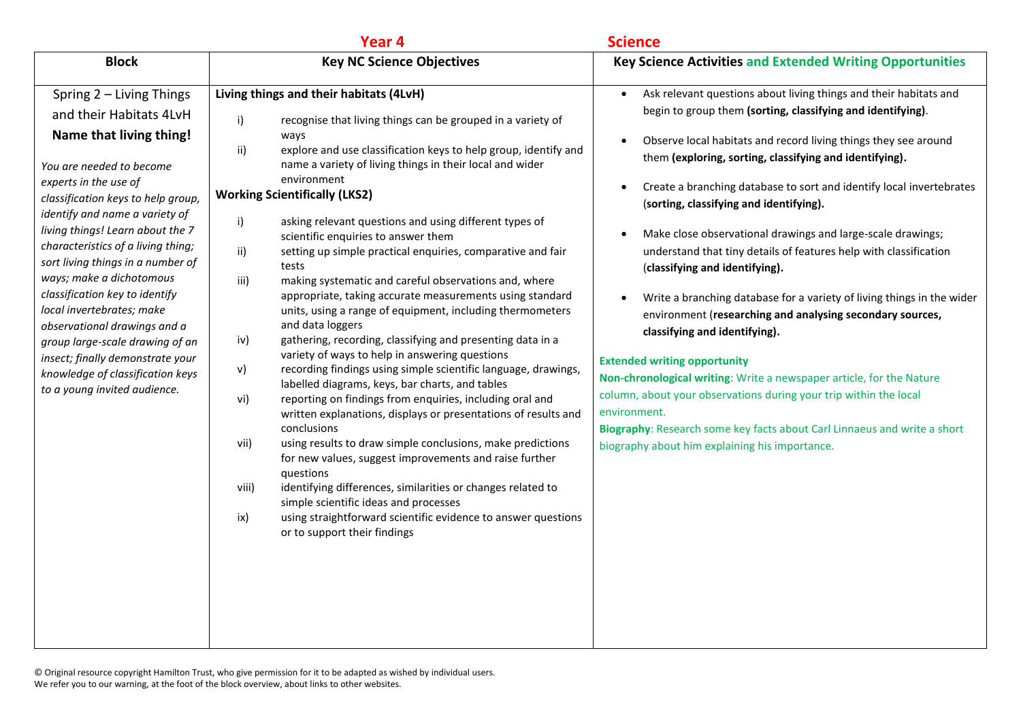|                                                                                                                                                                                                                                                                                                                                                                                                                                                                                                                                                                                                  | Year 4                                                                                                                                                                                                                                                                                                                                                                                                                                                                                                                                                                                                                                                                                                                                                                                                                                                                                                                                                                                                                                                                                                                                                                                                                                                                                                                                                                                                                                                                                            | <b>Science</b>                                                                                                                                                                                                                                                                                                                                                                                                                                                                                                                                                                                                                                                                                                                                                                                                                                                                                                                                                                                                                                                                                           |
|--------------------------------------------------------------------------------------------------------------------------------------------------------------------------------------------------------------------------------------------------------------------------------------------------------------------------------------------------------------------------------------------------------------------------------------------------------------------------------------------------------------------------------------------------------------------------------------------------|---------------------------------------------------------------------------------------------------------------------------------------------------------------------------------------------------------------------------------------------------------------------------------------------------------------------------------------------------------------------------------------------------------------------------------------------------------------------------------------------------------------------------------------------------------------------------------------------------------------------------------------------------------------------------------------------------------------------------------------------------------------------------------------------------------------------------------------------------------------------------------------------------------------------------------------------------------------------------------------------------------------------------------------------------------------------------------------------------------------------------------------------------------------------------------------------------------------------------------------------------------------------------------------------------------------------------------------------------------------------------------------------------------------------------------------------------------------------------------------------------|----------------------------------------------------------------------------------------------------------------------------------------------------------------------------------------------------------------------------------------------------------------------------------------------------------------------------------------------------------------------------------------------------------------------------------------------------------------------------------------------------------------------------------------------------------------------------------------------------------------------------------------------------------------------------------------------------------------------------------------------------------------------------------------------------------------------------------------------------------------------------------------------------------------------------------------------------------------------------------------------------------------------------------------------------------------------------------------------------------|
| <b>Block</b>                                                                                                                                                                                                                                                                                                                                                                                                                                                                                                                                                                                     | <b>Key NC Science Objectives</b>                                                                                                                                                                                                                                                                                                                                                                                                                                                                                                                                                                                                                                                                                                                                                                                                                                                                                                                                                                                                                                                                                                                                                                                                                                                                                                                                                                                                                                                                  | <b>Key Science Activities and Extended Writing Opportunities</b>                                                                                                                                                                                                                                                                                                                                                                                                                                                                                                                                                                                                                                                                                                                                                                                                                                                                                                                                                                                                                                         |
| Spring 2 - Living Things<br>and their Habitats 4LvH<br>Name that living thing!<br>You are needed to become<br>experts in the use of<br>classification keys to help group,<br>identify and name a variety of<br>living things! Learn about the 7<br>characteristics of a living thing;<br>sort living things in a number of<br>ways; make a dichotomous<br>classification key to identify<br>local invertebrates; make<br>observational drawings and a<br>group large-scale drawing of an<br>insect; finally demonstrate your<br>knowledge of classification keys<br>to a young invited audience. | Living things and their habitats (4LvH)<br>i)<br>recognise that living things can be grouped in a variety of<br>ways<br>explore and use classification keys to help group, identify and<br>ii)<br>name a variety of living things in their local and wider<br>environment<br><b>Working Scientifically (LKS2)</b><br>i)<br>asking relevant questions and using different types of<br>scientific enquiries to answer them<br>ii)<br>setting up simple practical enquiries, comparative and fair<br>tests<br>iii)<br>making systematic and careful observations and, where<br>appropriate, taking accurate measurements using standard<br>units, using a range of equipment, including thermometers<br>and data loggers<br>gathering, recording, classifying and presenting data in a<br>iv)<br>variety of ways to help in answering questions<br>recording findings using simple scientific language, drawings,<br>v)<br>labelled diagrams, keys, bar charts, and tables<br>reporting on findings from enquiries, including oral and<br>vi)<br>written explanations, displays or presentations of results and<br>conclusions<br>using results to draw simple conclusions, make predictions<br>vii)<br>for new values, suggest improvements and raise further<br>questions<br>identifying differences, similarities or changes related to<br>viii)<br>simple scientific ideas and processes<br>using straightforward scientific evidence to answer questions<br>ix)<br>or to support their findings | Ask relevant questions about living things and their habitats and<br>$\bullet$<br>begin to group them (sorting, classifying and identifying).<br>Observe local habitats and record living things they see around<br>$\bullet$<br>them (exploring, sorting, classifying and identifying).<br>Create a branching database to sort and identify local invertebrates<br>(sorting, classifying and identifying).<br>Make close observational drawings and large-scale drawings;<br>$\bullet$<br>understand that tiny details of features help with classification<br>(classifying and identifying).<br>Write a branching database for a variety of living things in the wider<br>environment (researching and analysing secondary sources,<br>classifying and identifying).<br><b>Extended writing opportunity</b><br>Non-chronological writing: Write a newspaper article, for the Nature<br>column, about your observations during your trip within the local<br>environment.<br>Biography: Research some key facts about Carl Linnaeus and write a short<br>biography about him explaining his importance. |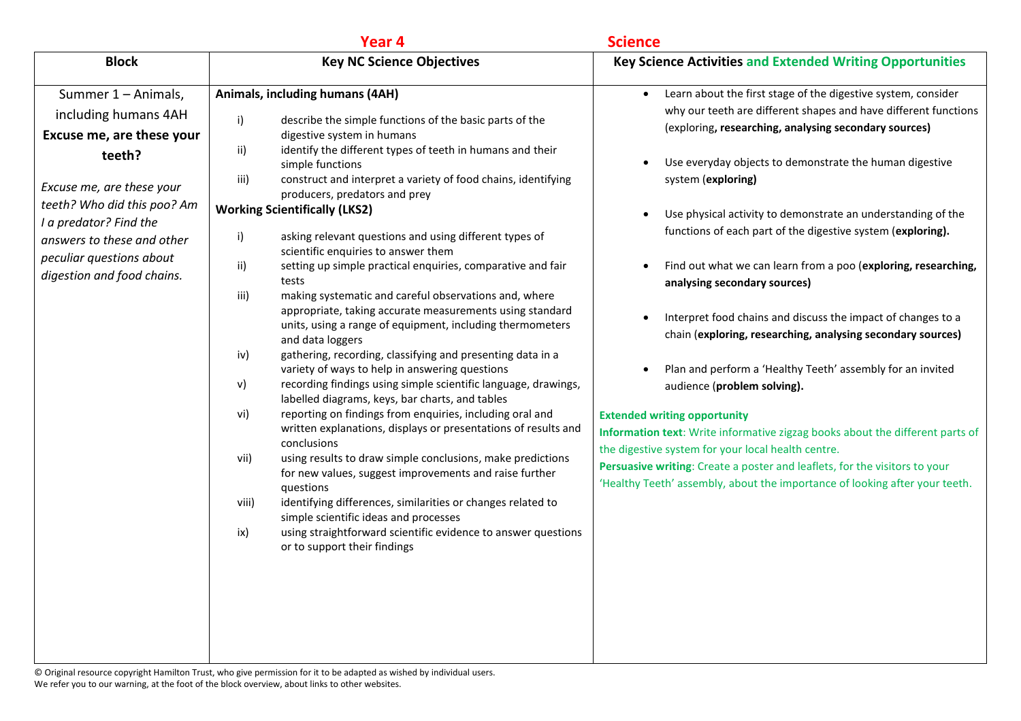|                                                                                                                                                                                                                                                                  | Year 4                                                                                                                                                                                                                                                                                                                                                                                                                                                                                                                                                                                                                                                                                                                                                                                                                                                                                                                                                                                                                                                                                                                                                                                                                                                                                                                                                                                                                                                                                                                                                   | <b>Science</b>                                                                                                                                                                                                                                                                                                                                                                                                                                                                                                                                                                                                                                                                                                                                                                                                                                                                                                                                                                                                                                                                                                                         |
|------------------------------------------------------------------------------------------------------------------------------------------------------------------------------------------------------------------------------------------------------------------|----------------------------------------------------------------------------------------------------------------------------------------------------------------------------------------------------------------------------------------------------------------------------------------------------------------------------------------------------------------------------------------------------------------------------------------------------------------------------------------------------------------------------------------------------------------------------------------------------------------------------------------------------------------------------------------------------------------------------------------------------------------------------------------------------------------------------------------------------------------------------------------------------------------------------------------------------------------------------------------------------------------------------------------------------------------------------------------------------------------------------------------------------------------------------------------------------------------------------------------------------------------------------------------------------------------------------------------------------------------------------------------------------------------------------------------------------------------------------------------------------------------------------------------------------------|----------------------------------------------------------------------------------------------------------------------------------------------------------------------------------------------------------------------------------------------------------------------------------------------------------------------------------------------------------------------------------------------------------------------------------------------------------------------------------------------------------------------------------------------------------------------------------------------------------------------------------------------------------------------------------------------------------------------------------------------------------------------------------------------------------------------------------------------------------------------------------------------------------------------------------------------------------------------------------------------------------------------------------------------------------------------------------------------------------------------------------------|
| <b>Block</b>                                                                                                                                                                                                                                                     | <b>Key NC Science Objectives</b>                                                                                                                                                                                                                                                                                                                                                                                                                                                                                                                                                                                                                                                                                                                                                                                                                                                                                                                                                                                                                                                                                                                                                                                                                                                                                                                                                                                                                                                                                                                         | <b>Key Science Activities and Extended Writing Opportunities</b>                                                                                                                                                                                                                                                                                                                                                                                                                                                                                                                                                                                                                                                                                                                                                                                                                                                                                                                                                                                                                                                                       |
| Summer 1 - Animals,<br>including humans 4AH<br>Excuse me, are these your<br>teeth?<br>Excuse me, are these your<br>teeth? Who did this poo? Am<br>I a predator? Find the<br>answers to these and other<br>peculiar questions about<br>digestion and food chains. | Animals, including humans (4AH)<br>i)<br>describe the simple functions of the basic parts of the<br>digestive system in humans<br>identify the different types of teeth in humans and their<br>ii)<br>simple functions<br>construct and interpret a variety of food chains, identifying<br>iii)<br>producers, predators and prey<br><b>Working Scientifically (LKS2)</b><br>i)<br>asking relevant questions and using different types of<br>scientific enquiries to answer them<br>ii)<br>setting up simple practical enquiries, comparative and fair<br>tests<br>making systematic and careful observations and, where<br>iii)<br>appropriate, taking accurate measurements using standard<br>units, using a range of equipment, including thermometers<br>and data loggers<br>gathering, recording, classifying and presenting data in a<br>iv)<br>variety of ways to help in answering questions<br>V)<br>recording findings using simple scientific language, drawings,<br>labelled diagrams, keys, bar charts, and tables<br>vi)<br>reporting on findings from enquiries, including oral and<br>written explanations, displays or presentations of results and<br>conclusions<br>vii)<br>using results to draw simple conclusions, make predictions<br>for new values, suggest improvements and raise further<br>questions<br>viii)<br>identifying differences, similarities or changes related to<br>simple scientific ideas and processes<br>ix)<br>using straightforward scientific evidence to answer questions<br>or to support their findings | Learn about the first stage of the digestive system, consider<br>$\bullet$<br>why our teeth are different shapes and have different functions<br>(exploring, researching, analysing secondary sources)<br>Use everyday objects to demonstrate the human digestive<br>system (exploring)<br>Use physical activity to demonstrate an understanding of the<br>$\bullet$<br>functions of each part of the digestive system (exploring).<br>Find out what we can learn from a poo (exploring, researching,<br>$\bullet$<br>analysing secondary sources)<br>Interpret food chains and discuss the impact of changes to a<br>$\bullet$<br>chain (exploring, researching, analysing secondary sources)<br>Plan and perform a 'Healthy Teeth' assembly for an invited<br>audience (problem solving).<br><b>Extended writing opportunity</b><br>Information text: Write informative zigzag books about the different parts of<br>the digestive system for your local health centre.<br>Persuasive writing: Create a poster and leaflets, for the visitors to your<br>'Healthy Teeth' assembly, about the importance of looking after your teeth. |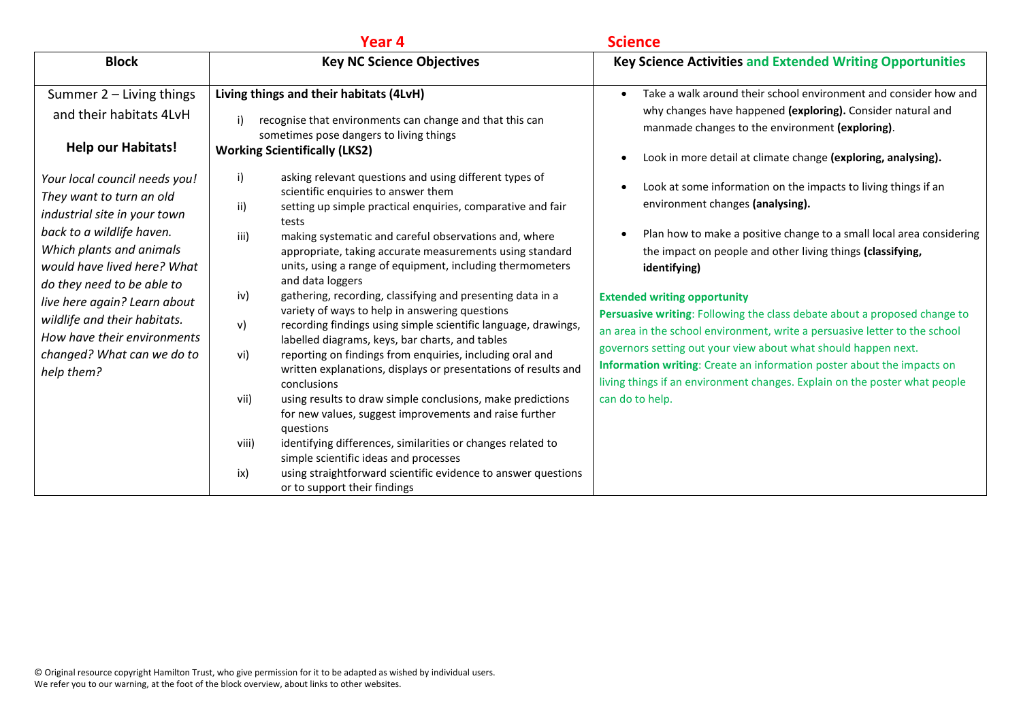|                                                                                                                                                                                                                                                                                                                                                                                                                                                | Year <sub>4</sub>                                                                                                                                                                                                                                                                                                                                                                                                                                                                                                                                                                                                                                                                                                                                                                                                                                                                                                                                                                                                                                                                                                                                                                                                           | <b>Science</b>                                                                                                                                                                                                                                                                                                                                                                                                                                                                                                                                                                                                                                                                                                                                                                                                                                                                                                                                                              |
|------------------------------------------------------------------------------------------------------------------------------------------------------------------------------------------------------------------------------------------------------------------------------------------------------------------------------------------------------------------------------------------------------------------------------------------------|-----------------------------------------------------------------------------------------------------------------------------------------------------------------------------------------------------------------------------------------------------------------------------------------------------------------------------------------------------------------------------------------------------------------------------------------------------------------------------------------------------------------------------------------------------------------------------------------------------------------------------------------------------------------------------------------------------------------------------------------------------------------------------------------------------------------------------------------------------------------------------------------------------------------------------------------------------------------------------------------------------------------------------------------------------------------------------------------------------------------------------------------------------------------------------------------------------------------------------|-----------------------------------------------------------------------------------------------------------------------------------------------------------------------------------------------------------------------------------------------------------------------------------------------------------------------------------------------------------------------------------------------------------------------------------------------------------------------------------------------------------------------------------------------------------------------------------------------------------------------------------------------------------------------------------------------------------------------------------------------------------------------------------------------------------------------------------------------------------------------------------------------------------------------------------------------------------------------------|
| <b>Block</b>                                                                                                                                                                                                                                                                                                                                                                                                                                   | <b>Key NC Science Objectives</b>                                                                                                                                                                                                                                                                                                                                                                                                                                                                                                                                                                                                                                                                                                                                                                                                                                                                                                                                                                                                                                                                                                                                                                                            | <b>Key Science Activities and Extended Writing Opportunities</b>                                                                                                                                                                                                                                                                                                                                                                                                                                                                                                                                                                                                                                                                                                                                                                                                                                                                                                            |
| Summer 2 - Living things<br>and their habitats 4LvH<br><b>Help our Habitats!</b><br>Your local council needs you!<br>They want to turn an old<br>industrial site in your town<br>back to a wildlife haven.<br>Which plants and animals<br>would have lived here? What<br>do they need to be able to<br>live here again? Learn about<br>wildlife and their habitats.<br>How have their environments<br>changed? What can we do to<br>help them? | Living things and their habitats (4LvH)<br>i)<br>recognise that environments can change and that this can<br>sometimes pose dangers to living things<br><b>Working Scientifically (LKS2)</b><br>i)<br>asking relevant questions and using different types of<br>scientific enquiries to answer them<br>ii)<br>setting up simple practical enquiries, comparative and fair<br>tests<br>iii)<br>making systematic and careful observations and, where<br>appropriate, taking accurate measurements using standard<br>units, using a range of equipment, including thermometers<br>and data loggers<br>gathering, recording, classifying and presenting data in a<br>iv)<br>variety of ways to help in answering questions<br>v)<br>recording findings using simple scientific language, drawings,<br>labelled diagrams, keys, bar charts, and tables<br>reporting on findings from enquiries, including oral and<br>vi)<br>written explanations, displays or presentations of results and<br>conclusions<br>using results to draw simple conclusions, make predictions<br>vii)<br>for new values, suggest improvements and raise further<br>questions<br>identifying differences, similarities or changes related to<br>viii) | Take a walk around their school environment and consider how and<br>$\bullet$<br>why changes have happened (exploring). Consider natural and<br>manmade changes to the environment (exploring).<br>Look in more detail at climate change (exploring, analysing).<br>Look at some information on the impacts to living things if an<br>environment changes (analysing).<br>Plan how to make a positive change to a small local area considering<br>the impact on people and other living things (classifying,<br>identifying)<br><b>Extended writing opportunity</b><br>Persuasive writing: Following the class debate about a proposed change to<br>an area in the school environment, write a persuasive letter to the school<br>governors setting out your view about what should happen next.<br>Information writing: Create an information poster about the impacts on<br>living things if an environment changes. Explain on the poster what people<br>can do to help. |
|                                                                                                                                                                                                                                                                                                                                                                                                                                                | simple scientific ideas and processes<br>ix)<br>using straightforward scientific evidence to answer questions<br>or to support their findings                                                                                                                                                                                                                                                                                                                                                                                                                                                                                                                                                                                                                                                                                                                                                                                                                                                                                                                                                                                                                                                                               |                                                                                                                                                                                                                                                                                                                                                                                                                                                                                                                                                                                                                                                                                                                                                                                                                                                                                                                                                                             |